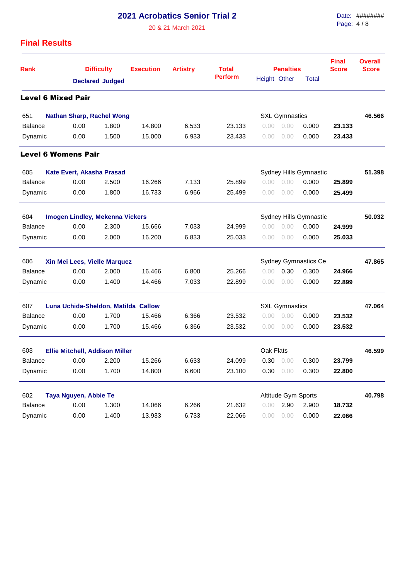**2021 Acrobatics Senior Trial 2**

20 & 21 March 2021

Date: ######## Page: 4 / 8

## **Final Results**

| <b>Rank</b>                                                         |                                        | <b>Difficulty</b><br><b>Declared Judged</b> |        | <b>Artistry</b> | <b>Total</b><br><b>Perform</b> |                       | <b>Penalties</b>       | <b>Final</b><br><b>Score</b> | <b>Overall</b><br><b>Score</b> |        |
|---------------------------------------------------------------------|----------------------------------------|---------------------------------------------|--------|-----------------|--------------------------------|-----------------------|------------------------|------------------------------|--------------------------------|--------|
|                                                                     |                                        |                                             |        |                 |                                | Height Other          |                        | <b>Total</b>                 |                                |        |
| <b>Level 6 Mixed Pair</b>                                           |                                        |                                             |        |                 |                                |                       |                        |                              |                                |        |
| 651                                                                 | <b>Nathan Sharp, Rachel Wong</b>       |                                             |        |                 |                                | <b>SXL Gymnastics</b> |                        |                              |                                | 46.566 |
| <b>Balance</b>                                                      | 0.00                                   | 1.800                                       | 14.800 | 6.533           | 23.133                         | 0.00                  | 0.00                   | 0.000                        | 23.133                         |        |
| Dynamic                                                             | 0.00                                   | 1.500                                       | 15.000 | 6.933           | 23.433                         | 0.00                  | 0.00                   | 0.000                        | 23.433                         |        |
| <b>Level 6 Womens Pair</b>                                          |                                        |                                             |        |                 |                                |                       |                        |                              |                                |        |
| 605                                                                 | Kate Evert, Akasha Prasad              |                                             |        |                 |                                |                       | Sydney Hills Gymnastic |                              | 51.398                         |        |
| <b>Balance</b>                                                      | 0.00                                   | 2.500                                       | 16.266 | 7.133           | 25.899                         | 0.00                  | 0.00                   | 0.000                        | 25.899                         |        |
| Dynamic                                                             | 0.00                                   | 1.800                                       | 16.733 | 6.966           | 25.499                         | 0.00                  | 0.00                   | 0.000                        | 25.499                         |        |
| 604                                                                 | <b>Imogen Lindley, Mekenna Vickers</b> |                                             |        |                 |                                |                       |                        | Sydney Hills Gymnastic       |                                | 50.032 |
| <b>Balance</b>                                                      | 0.00                                   | 2.300                                       | 15.666 | 7.033           | 24.999                         | 0.00                  | 0.00                   | 0.000                        | 24.999                         |        |
| Dynamic                                                             | 0.00                                   | 2.000                                       | 16.200 | 6.833           | 25.033                         | 0.00                  | 0.00                   | 0.000                        | 25.033                         |        |
| 606                                                                 | Xin Mei Lees, Vielle Marquez           |                                             |        |                 |                                |                       |                        | Sydney Gymnastics Ce         |                                | 47.865 |
| <b>Balance</b>                                                      | 0.00                                   | 2.000                                       | 16.466 | 6.800           | 25.266                         | 0.00                  | 0.30                   | 0.300                        | 24.966                         |        |
| Dynamic                                                             | 0.00                                   | 1.400                                       | 14.466 | 7.033           | 22,899                         | 0.00                  | 0.00                   | 0.000                        | 22.899                         |        |
| 607<br>Luna Uchida-Sheldon, Matilda Callow<br><b>SXL Gymnastics</b> |                                        |                                             |        |                 |                                |                       |                        |                              | 47.064                         |        |
| <b>Balance</b>                                                      | 0.00                                   | 1.700                                       | 15.466 | 6.366           | 23.532                         | 0.00                  | 0.00                   | 0.000                        | 23.532                         |        |
| Dynamic                                                             | 0.00                                   | 1.700                                       | 15.466 | 6.366           | 23.532                         | 0.00                  | 0.00                   | 0.000                        | 23.532                         |        |
| 603<br>Oak Flats<br><b>Ellie Mitchell, Addison Miller</b>           |                                        |                                             |        |                 |                                |                       |                        |                              | 46.599                         |        |
| Balance                                                             | 0.00                                   | 2.200                                       | 15.266 | 6.633           | 24.099                         | 0.30                  | 0.00                   | 0.300                        | 23.799                         |        |
| Dynamic                                                             | 0.00                                   | 1.700                                       | 14.800 | 6.600           | 23.100                         | 0.30                  | 0.00                   | 0.300                        | 22.800                         |        |
| 602                                                                 | Taya Nguyen, Abbie Te                  |                                             |        |                 |                                |                       | Altitude Gym Sports    |                              |                                | 40.798 |
| <b>Balance</b>                                                      | 0.00                                   | 1.300                                       | 14.066 | 6.266           | 21.632                         | 0.00                  | 2.90                   | 2.900                        | 18.732                         |        |
| Dynamic                                                             | 0.00                                   | 1.400                                       | 13.933 | 6.733           | 22.066                         | 0.00                  | 0.00                   | 0.000                        | 22.066                         |        |